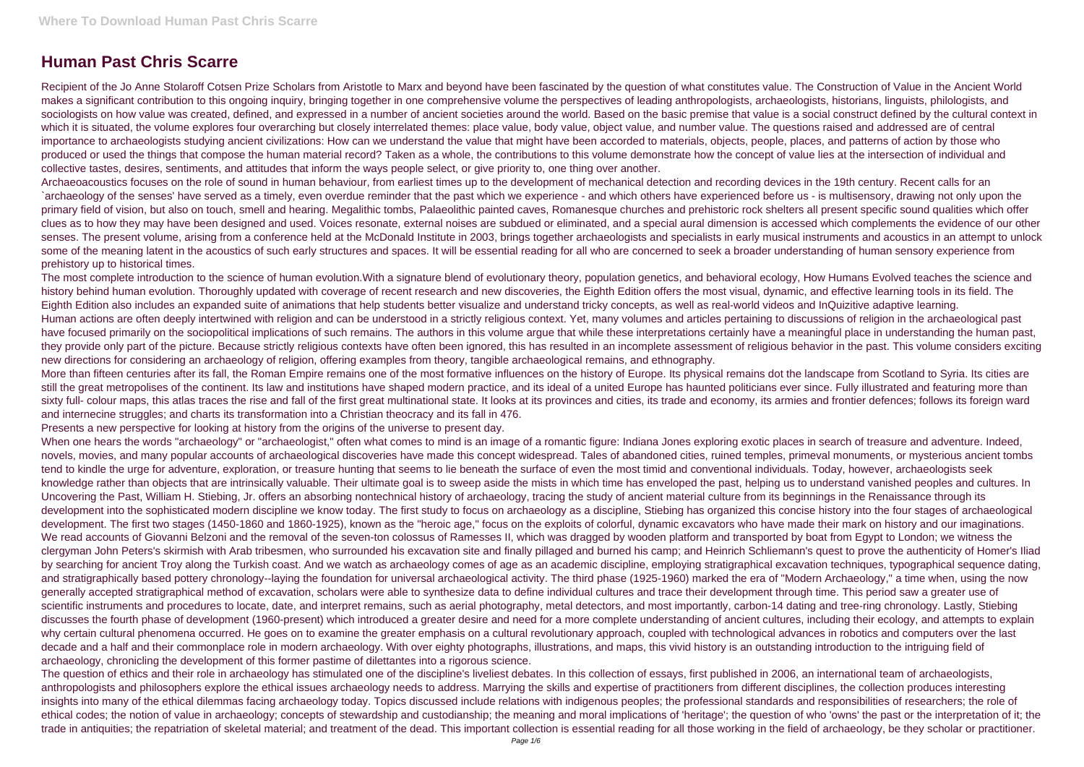# **Human Past Chris Scarre**

Recipient of the Jo Anne Stolaroff Cotsen Prize Scholars from Aristotle to Marx and beyond have been fascinated by the question of what constitutes value. The Construction of Value in the Ancient World makes a significant contribution to this ongoing inquiry, bringing together in one comprehensive volume the perspectives of leading anthropologists, archaeologists, historians, linguists, philologists, and sociologists on how value was created, defined, and expressed in a number of ancient societies around the world. Based on the basic premise that value is a social construct defined by the cultural context in which it is situated, the volume explores four overarching but closely interrelated themes: place value, body value, object value, and number value. The questions raised and addressed are of central importance to archaeologists studying ancient civilizations: How can we understand the value that might have been accorded to materials, objects, people, places, and patterns of action by those who produced or used the things that compose the human material record? Taken as a whole, the contributions to this volume demonstrate how the concept of value lies at the intersection of individual and collective tastes, desires, sentiments, and attitudes that inform the ways people select, or give priority to, one thing over another.

The most complete introduction to the science of human evolution. With a signature blend of evolutionary theory, population genetics, and behavioral ecology, How Humans Evolved teaches the science and history behind human evolution. Thoroughly updated with coverage of recent research and new discoveries, the Eighth Edition offers the most visual, dynamic, and effective learning tools in its field. The Eighth Edition also includes an expanded suite of animations that help students better visualize and understand tricky concepts, as well as real-world videos and InQuizitive adaptive learning. Human actions are often deeply intertwined with religion and can be understood in a strictly religious context. Yet, many volumes and articles pertaining to discussions of religion in the archaeological past have focused primarily on the sociopolitical implications of such remains. The authors in this volume argue that while these interpretations certainly have a meaningful place in understanding the human past, they provide only part of the picture. Because strictly religious contexts have often been ignored, this has resulted in an incomplete assessment of religious behavior in the past. This volume considers exciting new directions for considering an archaeology of religion, offering examples from theory, tangible archaeological remains, and ethnography.

Archaeoacoustics focuses on the role of sound in human behaviour, from earliest times up to the development of mechanical detection and recording devices in the 19th century. Recent calls for an `archaeology of the senses' have served as a timely, even overdue reminder that the past which we experience - and which others have experienced before us - is multisensory, drawing not only upon the primary field of vision, but also on touch, smell and hearing. Megalithic tombs, Palaeolithic painted caves, Romanesque churches and prehistoric rock shelters all present specific sound qualities which offer clues as to how they may have been designed and used. Voices resonate, external noises are subdued or eliminated, and a special aural dimension is accessed which complements the evidence of our other senses. The present volume, arising from a conference held at the McDonald Institute in 2003, brings together archaeologists and specialists in early musical instruments and acoustics in an attempt to unlock some of the meaning latent in the acoustics of such early structures and spaces. It will be essential reading for all who are concerned to seek a broader understanding of human sensory experience from prehistory up to historical times.

More than fifteen centuries after its fall, the Roman Empire remains one of the most formative influences on the history of Europe. Its physical remains dot the landscape from Scotland to Syria. Its cities are still the great metropolises of the continent. Its law and institutions have shaped modern practice, and its ideal of a united Europe has haunted politicians ever since. Fully illustrated and featuring more than sixty full- colour maps, this atlas traces the rise and fall of the first great multinational state. It looks at its provinces and cities, its trade and economy, its armies and frontier defences; follows its foreign ward and internecine struggles; and charts its transformation into a Christian theocracy and its fall in 476.

When one hears the words "archaeology" or "archaeologist," often what comes to mind is an image of a romantic figure: Indiana Jones exploring exotic places in search of treasure and adventure. Indeed, novels, movies, and many popular accounts of archaeological discoveries have made this concept widespread. Tales of abandoned cities, ruined temples, primeval monuments, or mysterious ancient tombs tend to kindle the urge for adventure, exploration, or treasure hunting that seems to lie beneath the surface of even the most timid and conventional individuals. Today, however, archaeologists seek knowledge rather than objects that are intrinsically valuable. Their ultimate goal is to sweep aside the mists in which time has enveloped the past, helping us to understand vanished peoples and cultures. In Uncovering the Past, William H. Stiebing, Jr. offers an absorbing nontechnical history of archaeology, tracing the study of ancient material culture from its beginnings in the Renaissance through its development into the sophisticated modern discipline we know today. The first study to focus on archaeology as a discipline, Stiebing has organized this concise history into the four stages of archaeological development. The first two stages (1450-1860 and 1860-1925), known as the "heroic age," focus on the exploits of colorful, dynamic excavators who have made their mark on history and our imaginations. We read accounts of Giovanni Belzoni and the removal of the seven-ton colossus of Ramesses II, which was dragged by wooden platform and transported by boat from Egypt to London; we witness the clergyman John Peters's skirmish with Arab tribesmen, who surrounded his excavation site and finally pillaged and burned his camp; and Heinrich Schliemann's quest to prove the authenticity of Homer's Iliad by searching for ancient Troy along the Turkish coast. And we watch as archaeology comes of age as an academic discipline, employing stratigraphical excavation techniques, typographical sequence dating, and stratigraphically based pottery chronology--laying the foundation for universal archaeological activity. The third phase (1925-1960) marked the era of "Modern Archaeology," a time when, using the now generally accepted stratigraphical method of excavation, scholars were able to synthesize data to define individual cultures and trace their development through time. This period saw a greater use of scientific instruments and procedures to locate, date, and interpret remains, such as aerial photography, metal detectors, and most importantly, carbon-14 dating and tree-ring chronology. Lastly, Stiebing discusses the fourth phase of development (1960-present) which introduced a greater desire and need for a more complete understanding of ancient cultures, including their ecology, and attempts to explain why certain cultural phenomena occurred. He goes on to examine the greater emphasis on a cultural revolutionary approach, coupled with technological advances in robotics and computers over the last decade and a half and their commonplace role in modern archaeology. With over eighty photographs, illustrations, and maps, this vivid history is an outstanding introduction to the intriguing field of archaeology, chronicling the development of this former pastime of dilettantes into a rigorous science.

Presents a new perspective for looking at history from the origins of the universe to present day.

The question of ethics and their role in archaeology has stimulated one of the discipline's liveliest debates. In this collection of essays, first published in 2006, an international team of archaeologists, anthropologists and philosophers explore the ethical issues archaeology needs to address. Marrying the skills and expertise of practitioners from different disciplines, the collection produces interesting insights into many of the ethical dilemmas facing archaeology today. Topics discussed include relations with indigenous peoples; the professional standards and responsibilities of researchers; the role of ethical codes; the notion of value in archaeology; concepts of stewardship and custodianship; the meaning and moral implications of 'heritage'; the question of who 'owns' the past or the interpretation of it; the trade in antiquities; the repatriation of skeletal material; and treatment of the dead. This important collection is essential reading for all those working in the field of archaeology, be they scholar or practitioner.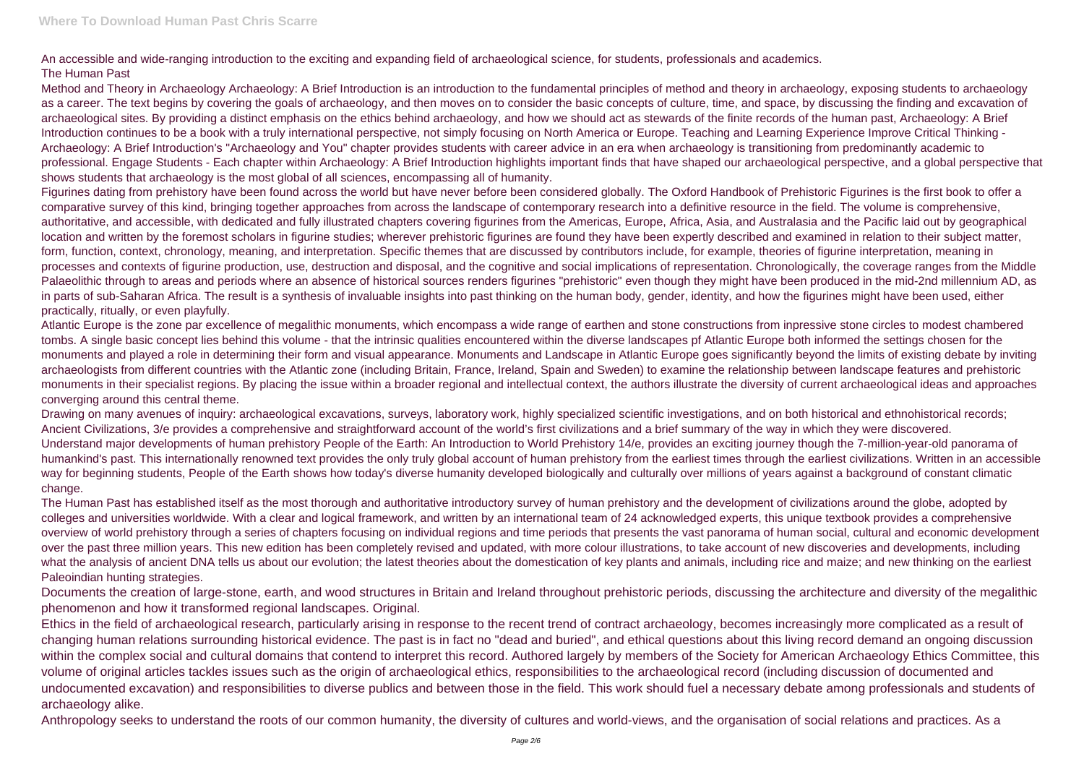An accessible and wide-ranging introduction to the exciting and expanding field of archaeological science, for students, professionals and academics. The Human Past

Method and Theory in Archaeology Archaeology: A Brief Introduction is an introduction to the fundamental principles of method and theory in archaeology, exposing students to archaeology as a career. The text begins by covering the goals of archaeology, and then moves on to consider the basic concepts of culture, time, and space, by discussing the finding and excavation of archaeological sites. By providing a distinct emphasis on the ethics behind archaeology, and how we should act as stewards of the finite records of the human past, Archaeology: A Brief Introduction continues to be a book with a truly international perspective, not simply focusing on North America or Europe. Teaching and Learning Experience Improve Critical Thinking - Archaeology: A Brief Introduction's "Archaeology and You" chapter provides students with career advice in an era when archaeology is transitioning from predominantly academic to professional. Engage Students - Each chapter within Archaeology: A Brief Introduction highlights important finds that have shaped our archaeological perspective, and a global perspective that shows students that archaeology is the most global of all sciences, encompassing all of humanity.

Figurines dating from prehistory have been found across the world but have never before been considered globally. The Oxford Handbook of Prehistoric Figurines is the first book to offer a comparative survey of this kind, bringing together approaches from across the landscape of contemporary research into a definitive resource in the field. The volume is comprehensive, authoritative, and accessible, with dedicated and fully illustrated chapters covering figurines from the Americas, Europe, Africa, Asia, and Australasia and the Pacific laid out by geographical location and written by the foremost scholars in figurine studies; wherever prehistoric figurines are found they have been expertly described and examined in relation to their subject matter, form, function, context, chronology, meaning, and interpretation. Specific themes that are discussed by contributors include, for example, theories of figurine interpretation, meaning in processes and contexts of figurine production, use, destruction and disposal, and the cognitive and social implications of representation. Chronologically, the coverage ranges from the Middle Palaeolithic through to areas and periods where an absence of historical sources renders figurines "prehistoric" even though they might have been produced in the mid-2nd millennium AD, as in parts of sub-Saharan Africa. The result is a synthesis of invaluable insights into past thinking on the human body, gender, identity, and how the figurines might have been used, either practically, ritually, or even playfully.

Atlantic Europe is the zone par excellence of megalithic monuments, which encompass a wide range of earthen and stone constructions from inpressive stone circles to modest chambered tombs. A single basic concept lies behind this volume - that the intrinsic qualities encountered within the diverse landscapes pf Atlantic Europe both informed the settings chosen for the monuments and played a role in determining their form and visual appearance. Monuments and Landscape in Atlantic Europe goes significantly beyond the limits of existing debate by inviting archaeologists from different countries with the Atlantic zone (including Britain, France, Ireland, Spain and Sweden) to examine the relationship between landscape features and prehistoric monuments in their specialist regions. By placing the issue within a broader regional and intellectual context, the authors illustrate the diversity of current archaeological ideas and approaches converging around this central theme.

Drawing on many avenues of inquiry: archaeological excavations, surveys, laboratory work, highly specialized scientific investigations, and on both historical and ethnohistorical records; Ancient Civilizations, 3/e provides a comprehensive and straightforward account of the world's first civilizations and a brief summary of the way in which they were discovered. Understand major developments of human prehistory People of the Earth: An Introduction to World Prehistory 14/e, provides an exciting journey though the 7-million-year-old panorama of humankind's past. This internationally renowned text provides the only truly global account of human prehistory from the earliest times through the earliest civilizations. Written in an accessible way for beginning students, People of the Earth shows how today's diverse humanity developed biologically and culturally over millions of years against a background of constant climatic change.

The Human Past has established itself as the most thorough and authoritative introductory survey of human prehistory and the development of civilizations around the globe, adopted by colleges and universities worldwide. With a clear and logical framework, and written by an international team of 24 acknowledged experts, this unique textbook provides a comprehensive overview of world prehistory through a series of chapters focusing on individual regions and time periods that presents the vast panorama of human social, cultural and economic development over the past three million years. This new edition has been completely revised and updated, with more colour illustrations, to take account of new discoveries and developments, including what the analysis of ancient DNA tells us about our evolution; the latest theories about the domestication of key plants and animals, including rice and maize; and new thinking on the earliest Paleoindian hunting strategies.

Documents the creation of large-stone, earth, and wood structures in Britain and Ireland throughout prehistoric periods, discussing the architecture and diversity of the megalithic phenomenon and how it transformed regional landscapes. Original.

Ethics in the field of archaeological research, particularly arising in response to the recent trend of contract archaeology, becomes increasingly more complicated as a result of changing human relations surrounding historical evidence. The past is in fact no "dead and buried", and ethical questions about this living record demand an ongoing discussion within the complex social and cultural domains that contend to interpret this record. Authored largely by members of the Society for American Archaeology Ethics Committee, this volume of original articles tackles issues such as the origin of archaeological ethics, responsibilities to the archaeological record (including discussion of documented and undocumented excavation) and responsibilities to diverse publics and between those in the field. This work should fuel a necessary debate among professionals and students of archaeology alike.

Anthropology seeks to understand the roots of our common humanity, the diversity of cultures and world-views, and the organisation of social relations and practices. As a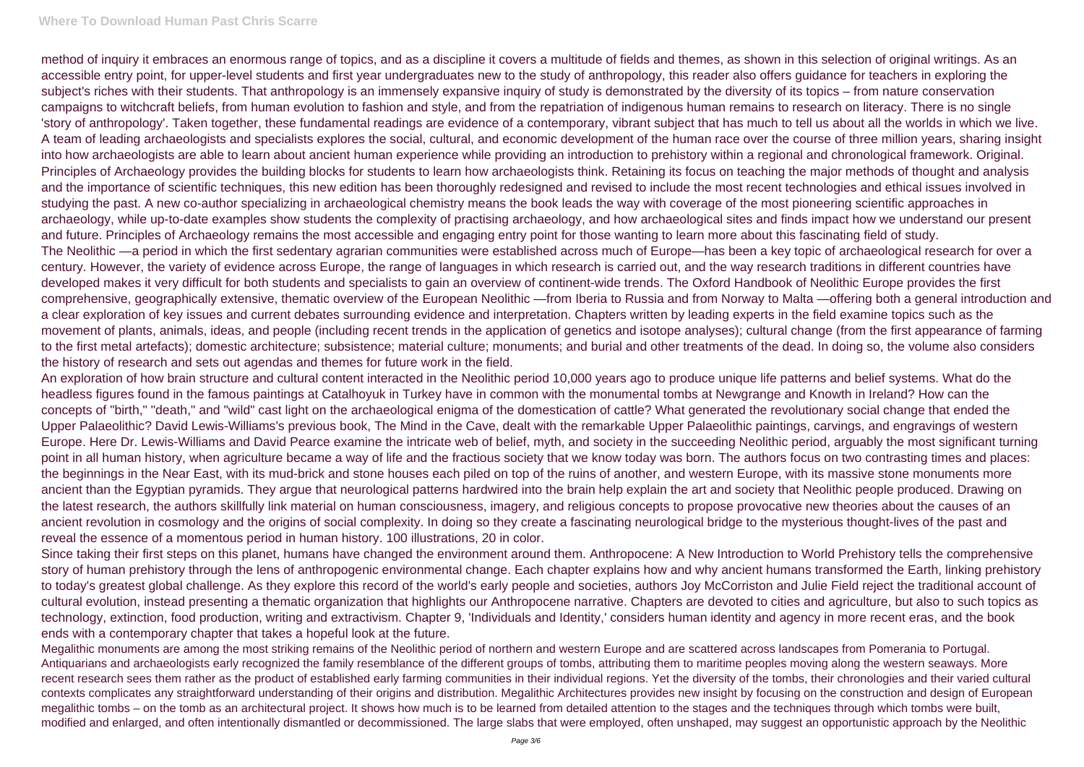# **Where To Download Human Past Chris Scarre**

method of inquiry it embraces an enormous range of topics, and as a discipline it covers a multitude of fields and themes, as shown in this selection of original writings. As an accessible entry point, for upper-level students and first year undergraduates new to the study of anthropology, this reader also offers guidance for teachers in exploring the subject's riches with their students. That anthropology is an immensely expansive inquiry of study is demonstrated by the diversity of its topics – from nature conservation campaigns to witchcraft beliefs, from human evolution to fashion and style, and from the repatriation of indigenous human remains to research on literacy. There is no single 'story of anthropology'. Taken together, these fundamental readings are evidence of a contemporary, vibrant subject that has much to tell us about all the worlds in which we live. A team of leading archaeologists and specialists explores the social, cultural, and economic development of the human race over the course of three million years, sharing insight into how archaeologists are able to learn about ancient human experience while providing an introduction to prehistory within a regional and chronological framework. Original. Principles of Archaeology provides the building blocks for students to learn how archaeologists think. Retaining its focus on teaching the major methods of thought and analysis and the importance of scientific techniques, this new edition has been thoroughly redesigned and revised to include the most recent technologies and ethical issues involved in studying the past. A new co-author specializing in archaeological chemistry means the book leads the way with coverage of the most pioneering scientific approaches in archaeology, while up-to-date examples show students the complexity of practising archaeology, and how archaeological sites and finds impact how we understand our present and future. Principles of Archaeology remains the most accessible and engaging entry point for those wanting to learn more about this fascinating field of study. The Neolithic —a period in which the first sedentary agrarian communities were established across much of Europe—has been a key topic of archaeological research for over a century. However, the variety of evidence across Europe, the range of languages in which research is carried out, and the way research traditions in different countries have developed makes it very difficult for both students and specialists to gain an overview of continent-wide trends. The Oxford Handbook of Neolithic Europe provides the first comprehensive, geographically extensive, thematic overview of the European Neolithic —from Iberia to Russia and from Norway to Malta —offering both a general introduction and a clear exploration of key issues and current debates surrounding evidence and interpretation. Chapters written by leading experts in the field examine topics such as the movement of plants, animals, ideas, and people (including recent trends in the application of genetics and isotope analyses); cultural change (from the first appearance of farming to the first metal artefacts); domestic architecture; subsistence; material culture; monuments; and burial and other treatments of the dead. In doing so, the volume also considers the history of research and sets out agendas and themes for future work in the field.

An exploration of how brain structure and cultural content interacted in the Neolithic period 10,000 years ago to produce unique life patterns and belief systems. What do the headless figures found in the famous paintings at Catalhoyuk in Turkey have in common with the monumental tombs at Newgrange and Knowth in Ireland? How can the concepts of "birth," "death," and "wild" cast light on the archaeological enigma of the domestication of cattle? What generated the revolutionary social change that ended the Upper Palaeolithic? David Lewis-Williams's previous book, The Mind in the Cave, dealt with the remarkable Upper Palaeolithic paintings, carvings, and engravings of western Europe. Here Dr. Lewis-Williams and David Pearce examine the intricate web of belief, myth, and society in the succeeding Neolithic period, arguably the most significant turning point in all human history, when agriculture became a way of life and the fractious society that we know today was born. The authors focus on two contrasting times and places: the beginnings in the Near East, with its mud-brick and stone houses each piled on top of the ruins of another, and western Europe, with its massive stone monuments more ancient than the Egyptian pyramids. They argue that neurological patterns hardwired into the brain help explain the art and society that Neolithic people produced. Drawing on the latest research, the authors skillfully link material on human consciousness, imagery, and religious concepts to propose provocative new theories about the causes of an ancient revolution in cosmology and the origins of social complexity. In doing so they create a fascinating neurological bridge to the mysterious thought-lives of the past and reveal the essence of a momentous period in human history. 100 illustrations, 20 in color.

Since taking their first steps on this planet, humans have changed the environment around them. Anthropocene: A New Introduction to World Prehistory tells the comprehensive story of human prehistory through the lens of anthropogenic environmental change. Each chapter explains how and why ancient humans transformed the Earth, linking prehistory to today's greatest global challenge. As they explore this record of the world's early people and societies, authors Joy McCorriston and Julie Field reject the traditional account of cultural evolution, instead presenting a thematic organization that highlights our Anthropocene narrative. Chapters are devoted to cities and agriculture, but also to such topics as technology, extinction, food production, writing and extractivism. Chapter 9, 'Individuals and Identity,' considers human identity and agency in more recent eras, and the book ends with a contemporary chapter that takes a hopeful look at the future.

Megalithic monuments are among the most striking remains of the Neolithic period of northern and western Europe and are scattered across landscapes from Pomerania to Portugal. Antiquarians and archaeologists early recognized the family resemblance of the different groups of tombs, attributing them to maritime peoples moving along the western seaways. More recent research sees them rather as the product of established early farming communities in their individual regions. Yet the diversity of the tombs, their chronologies and their varied cultural contexts complicates any straightforward understanding of their origins and distribution. Megalithic Architectures provides new insight by focusing on the construction and design of European megalithic tombs – on the tomb as an architectural project. It shows how much is to be learned from detailed attention to the stages and the techniques through which tombs were built, modified and enlarged, and often intentionally dismantled or decommissioned. The large slabs that were employed, often unshaped, may suggest an opportunistic approach by the Neolithic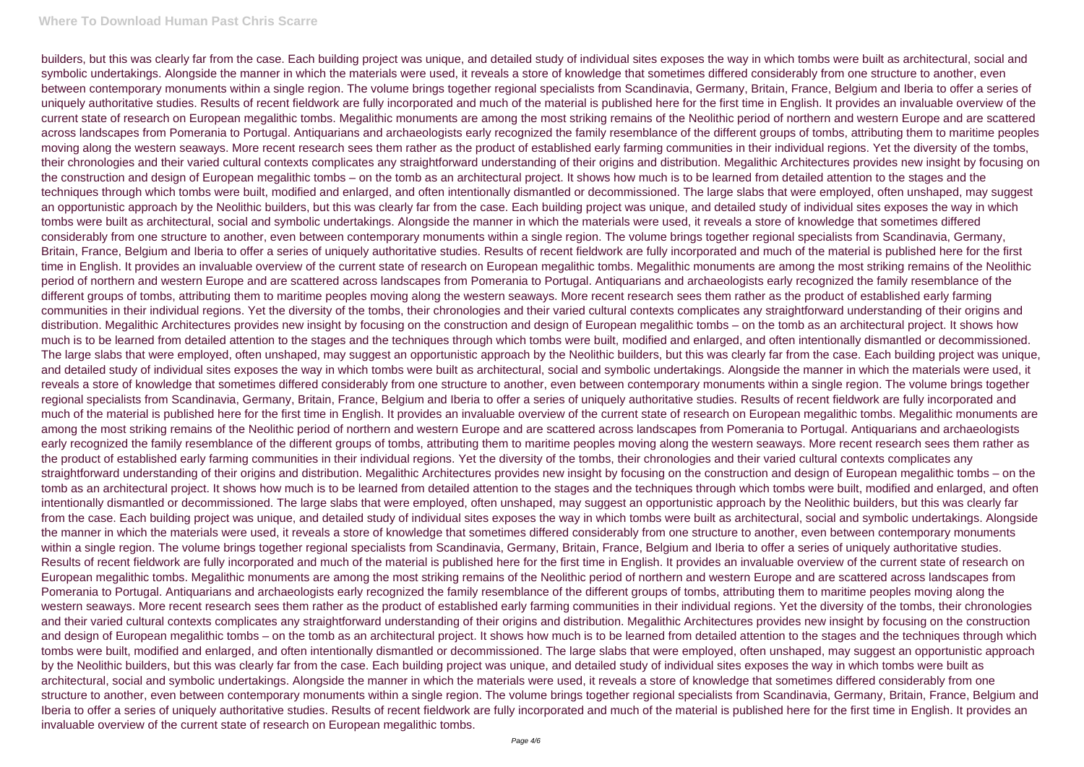## **Where To Download Human Past Chris Scarre**

builders, but this was clearly far from the case. Each building project was unique, and detailed study of individual sites exposes the way in which tombs were built as architectural, social and symbolic undertakings. Alongside the manner in which the materials were used, it reveals a store of knowledge that sometimes differed considerably from one structure to another, even between contemporary monuments within a single region. The volume brings together regional specialists from Scandinavia, Germany, Britain, France, Belgium and Iberia to offer a series of uniquely authoritative studies. Results of recent fieldwork are fully incorporated and much of the material is published here for the first time in English. It provides an invaluable overview of the current state of research on European megalithic tombs. Megalithic monuments are among the most striking remains of the Neolithic period of northern and western Europe and are scattered across landscapes from Pomerania to Portugal. Antiquarians and archaeologists early recognized the family resemblance of the different groups of tombs, attributing them to maritime peoples moving along the western seaways. More recent research sees them rather as the product of established early farming communities in their individual regions. Yet the diversity of the tombs, their chronologies and their varied cultural contexts complicates any straightforward understanding of their origins and distribution. Megalithic Architectures provides new insight by focusing on the construction and design of European megalithic tombs – on the tomb as an architectural project. It shows how much is to be learned from detailed attention to the stages and the techniques through which tombs were built, modified and enlarged, and often intentionally dismantled or decommissioned. The large slabs that were employed, often unshaped, may suggest an opportunistic approach by the Neolithic builders, but this was clearly far from the case. Each building project was unique, and detailed study of individual sites exposes the way in which tombs were built as architectural, social and symbolic undertakings. Alongside the manner in which the materials were used, it reveals a store of knowledge that sometimes differed considerably from one structure to another, even between contemporary monuments within a single region. The volume brings together regional specialists from Scandinavia, Germany, Britain, France, Belgium and Iberia to offer a series of uniquely authoritative studies. Results of recent fieldwork are fully incorporated and much of the material is published here for the first time in English. It provides an invaluable overview of the current state of research on European megalithic tombs. Megalithic monuments are among the most striking remains of the Neolithic period of northern and western Europe and are scattered across landscapes from Pomerania to Portugal. Antiquarians and archaeologists early recognized the family resemblance of the different groups of tombs, attributing them to maritime peoples moving along the western seaways. More recent research sees them rather as the product of established early farming communities in their individual regions. Yet the diversity of the tombs, their chronologies and their varied cultural contexts complicates any straightforward understanding of their origins and distribution. Megalithic Architectures provides new insight by focusing on the construction and design of European megalithic tombs – on the tomb as an architectural project. It shows how much is to be learned from detailed attention to the stages and the techniques through which tombs were built, modified and enlarged, and often intentionally dismantled or decommissioned. The large slabs that were employed, often unshaped, may suggest an opportunistic approach by the Neolithic builders, but this was clearly far from the case. Each building project was unique, and detailed study of individual sites exposes the way in which tombs were built as architectural, social and symbolic undertakings. Alongside the manner in which the materials were used, it reveals a store of knowledge that sometimes differed considerably from one structure to another, even between contemporary monuments within a single region. The volume brings together regional specialists from Scandinavia, Germany, Britain, France, Belgium and Iberia to offer a series of uniquely authoritative studies. Results of recent fieldwork are fully incorporated and much of the material is published here for the first time in English. It provides an invaluable overview of the current state of research on European megalithic tombs. Megalithic monuments are among the most striking remains of the Neolithic period of northern and western Europe and are scattered across landscapes from Pomerania to Portugal. Antiquarians and archaeologists early recognized the family resemblance of the different groups of tombs, attributing them to maritime peoples moving along the western seaways. More recent research sees them rather as the product of established early farming communities in their individual regions. Yet the diversity of the tombs, their chronologies and their varied cultural contexts complicates any straightforward understanding of their origins and distribution. Megalithic Architectures provides new insight by focusing on the construction and design of European megalithic tombs – on the tomb as an architectural project. It shows how much is to be learned from detailed attention to the stages and the techniques through which tombs were built, modified and enlarged, and often intentionally dismantled or decommissioned. The large slabs that were employed, often unshaped, may suggest an opportunistic approach by the Neolithic builders, but this was clearly far from the case. Each building project was unique, and detailed study of individual sites exposes the way in which tombs were built as architectural, social and symbolic undertakings. Alongside the manner in which the materials were used, it reveals a store of knowledge that sometimes differed considerably from one structure to another, even between contemporary monuments within a single region. The volume brings together regional specialists from Scandinavia, Germany, Britain, France, Belgium and Iberia to offer a series of uniquely authoritative studies. Results of recent fieldwork are fully incorporated and much of the material is published here for the first time in English. It provides an invaluable overview of the current state of research on European megalithic tombs. Megalithic monuments are among the most striking remains of the Neolithic period of northern and western Europe and are scattered across landscapes from Pomerania to Portugal. Antiquarians and archaeologists early recognized the family resemblance of the different groups of tombs, attributing them to maritime peoples moving along the western seaways. More recent research sees them rather as the product of established early farming communities in their individual regions. Yet the diversity of the tombs, their chronologies and their varied cultural contexts complicates any straightforward understanding of their origins and distribution. Megalithic Architectures provides new insight by focusing on the construction and design of European megalithic tombs – on the tomb as an architectural project. It shows how much is to be learned from detailed attention to the stages and the techniques through which tombs were built, modified and enlarged, and often intentionally dismantled or decommissioned. The large slabs that were employed, often unshaped, may suggest an opportunistic approach by the Neolithic builders, but this was clearly far from the case. Each building project was unique, and detailed study of individual sites exposes the way in which tombs were built as architectural, social and symbolic undertakings. Alongside the manner in which the materials were used, it reveals a store of knowledge that sometimes differed considerably from one structure to another, even between contemporary monuments within a single region. The volume brings together regional specialists from Scandinavia, Germany, Britain, France, Belgium and Iberia to offer a series of uniquely authoritative studies. Results of recent fieldwork are fully incorporated and much of the material is published here for the first time in English. It provides an invaluable overview of the current state of research on European megalithic tombs.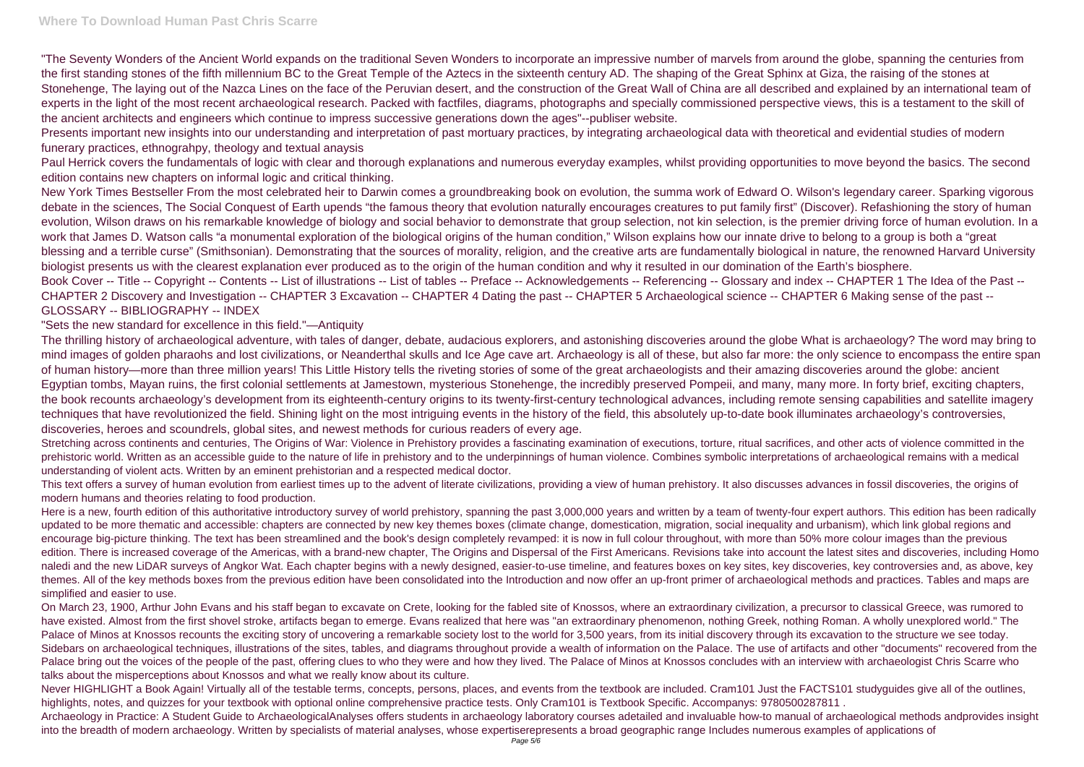"The Seventy Wonders of the Ancient World expands on the traditional Seven Wonders to incorporate an impressive number of marvels from around the globe, spanning the centuries from the first standing stones of the fifth millennium BC to the Great Temple of the Aztecs in the sixteenth century AD. The shaping of the Great Sphinx at Giza, the raising of the stones at Stonehenge. The laying out of the Nazca Lines on the face of the Peruvian desert, and the construction of the Great Wall of China are all described and explained by an international team of experts in the light of the most recent archaeological research. Packed with factfiles, diagrams, photographs and specially commissioned perspective views, this is a testament to the skill of the ancient architects and engineers which continue to impress successive generations down the ages"--publiser website.

Presents important new insights into our understanding and interpretation of past mortuary practices, by integrating archaeological data with theoretical and evidential studies of modern funerary practices, ethnograhpy, theology and textual anaysis

Paul Herrick covers the fundamentals of logic with clear and thorough explanations and numerous everyday examples, whilst providing opportunities to move beyond the basics. The second edition contains new chapters on informal logic and critical thinking.

New York Times Bestseller From the most celebrated heir to Darwin comes a groundbreaking book on evolution, the summa work of Edward O. Wilson's legendary career. Sparking vigorous debate in the sciences, The Social Conquest of Earth upends "the famous theory that evolution naturally encourages creatures to put family first" (Discover). Refashioning the story of human evolution, Wilson draws on his remarkable knowledge of biology and social behavior to demonstrate that group selection, not kin selection, is the premier driving force of human evolution. In a work that James D. Watson calls "a monumental exploration of the biological origins of the human condition," Wilson explains how our innate drive to belong to a group is both a "great blessing and a terrible curse" (Smithsonian). Demonstrating that the sources of morality, religion, and the creative arts are fundamentally biological in nature, the renowned Harvard University biologist presents us with the clearest explanation ever produced as to the origin of the human condition and why it resulted in our domination of the Earth's biosphere. Book Cover -- Title -- Copyright -- Contents -- List of illustrations -- List of tables -- Preface -- Acknowledgements -- Referencing -- Glossary and index -- CHAPTER 1 The Idea of the Past --CHAPTER 2 Discovery and Investigation -- CHAPTER 3 Excavation -- CHAPTER 4 Dating the past -- CHAPTER 5 Archaeological science -- CHAPTER 6 Making sense of the past -- GLOSSARY -- BIBLIOGRAPHY -- INDEX

Stretching across continents and centuries, The Origins of War: Violence in Prehistory provides a fascinating examination of executions, torture, ritual sacrifices, and other acts of violence committed in the prehistoric world. Written as an accessible guide to the nature of life in prehistory and to the underpinnings of human violence. Combines symbolic interpretations of archaeological remains with a medical understanding of violent acts. Written by an eminent prehistorian and a respected medical doctor.

## "Sets the new standard for excellence in this field."—Antiquity

Here is a new, fourth edition of this authoritative introductory survey of world prehistory, spanning the past 3,000,000 years and written by a team of twenty-four expert authors. This edition has been radically updated to be more thematic and accessible: chapters are connected by new key themes boxes (climate change, domestication, migration, social inequality and urbanism), which link global regions and encourage big-picture thinking. The text has been streamlined and the book's design completely revamped: it is now in full colour throughout, with more than 50% more colour images than the previous edition. There is increased coverage of the Americas, with a brand-new chapter, The Origins and Dispersal of the First Americans. Revisions take into account the latest sites and discoveries, including Homo naledi and the new LiDAR surveys of Angkor Wat. Each chapter begins with a newly designed, easier-to-use timeline, and features boxes on key sites, key discoveries, key controversies and, as above, key themes. All of the key methods boxes from the previous edition have been consolidated into the Introduction and now offer an up-front primer of archaeological methods and practices. Tables and maps are simplified and easier to use.

The thrilling history of archaeological adventure, with tales of danger, debate, audacious explorers, and astonishing discoveries around the globe What is archaeology? The word may bring to mind images of golden pharaohs and lost civilizations, or Neanderthal skulls and Ice Age cave art. Archaeology is all of these, but also far more: the only science to encompass the entire span of human history—more than three million years! This Little History tells the riveting stories of some of the great archaeologists and their amazing discoveries around the globe: ancient Egyptian tombs, Mayan ruins, the first colonial settlements at Jamestown, mysterious Stonehenge, the incredibly preserved Pompeii, and many, many more. In forty brief, exciting chapters, the book recounts archaeology's development from its eighteenth-century origins to its twenty-first-century technological advances, including remote sensing capabilities and satellite imagery techniques that have revolutionized the field. Shining light on the most intriguing events in the history of the field, this absolutely up-to-date book illuminates archaeology's controversies, discoveries, heroes and scoundrels, global sites, and newest methods for curious readers of every age.

Never HIGHLIGHT a Book Again! Virtually all of the testable terms, concepts, persons, places, and events from the textbook are included. Cram101 Just the FACTS101 studyguides give all of the outlines, highlights, notes, and quizzes for your textbook with optional online comprehensive practice tests. Only Cram101 is Textbook Specific. Accompanys: 9780500287811. Archaeology in Practice: A Student Guide to ArchaeologicalAnalyses offers students in archaeology laboratory courses adetailed and invaluable how-to manual of archaeological methods andprovides insight into the breadth of modern archaeology. Written by specialists of material analyses, whose expertiserepresents a broad geographic range Includes numerous examples of applications of

This text offers a survey of human evolution from earliest times up to the advent of literate civilizations, providing a view of human prehistory. It also discusses advances in fossil discoveries, the origins of modern humans and theories relating to food production.

On March 23, 1900, Arthur John Evans and his staff began to excavate on Crete, looking for the fabled site of Knossos, where an extraordinary civilization, a precursor to classical Greece, was rumored to have existed. Almost from the first shovel stroke, artifacts began to emerge. Evans realized that here was "an extraordinary phenomenon, nothing Greek, nothing Roman. A wholly unexplored world." The Palace of Minos at Knossos recounts the exciting story of uncovering a remarkable society lost to the world for 3,500 years, from its initial discovery through its excavation to the structure we see today. Sidebars on archaeological techniques, illustrations of the sites, tables, and diagrams throughout provide a wealth of information on the Palace. The use of artifacts and other "documents" recovered from the Palace bring out the voices of the people of the past, offering clues to who they were and how they lived. The Palace of Minos at Knossos concludes with an interview with archaeologist Chris Scarre who talks about the misperceptions about Knossos and what we really know about its culture.